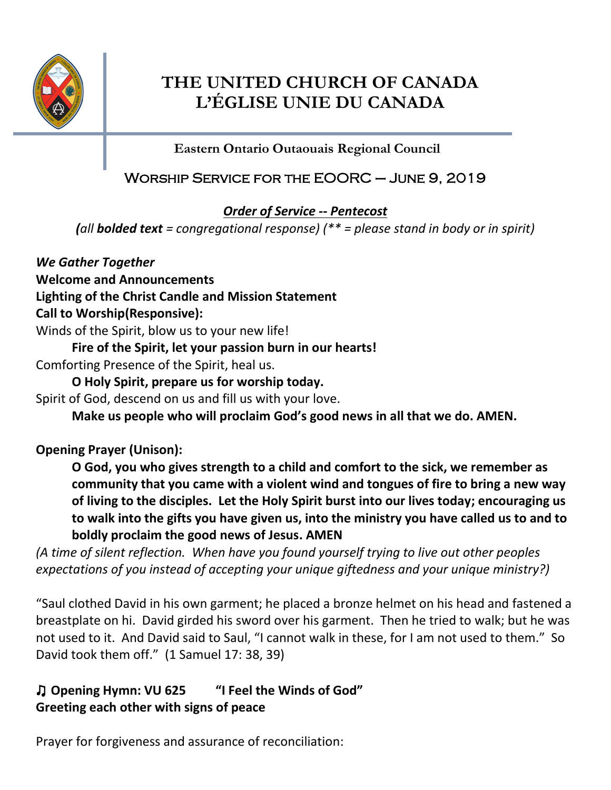

# **THE UNITED CHURCH OF CANADA L'ÉGLISE UNIE DU CANADA**

**Eastern Ontario Outaouais Regional Council**

# Worship Service for the EOORC – June 9, 2019

*Order of Service -- Pentecost*

*(all bolded text = congregational response) (\*\* = please stand in body or in spirit)*

*We Gather Together*

**Welcome and Announcements**

**Lighting of the Christ Candle and Mission Statement**

# **Call to Worship(Responsive):**

Winds of the Spirit, blow us to your new life!

**Fire of the Spirit, let your passion burn in our hearts!**

Comforting Presence of the Spirit, heal us.

**O Holy Spirit, prepare us for worship today.**

Spirit of God, descend on us and fill us with your love.

**Make us people who will proclaim God's good news in all that we do. AMEN.**

# **Opening Prayer (Unison):**

**O God, you who gives strength to a child and comfort to the sick, we remember as community that you came with a violent wind and tongues of fire to bring a new way of living to the disciples. Let the Holy Spirit burst into our lives today; encouraging us to walk into the gifts you have given us, into the ministry you have called us to and to boldly proclaim the good news of Jesus. AMEN**

*(A time of silent reflection. When have you found yourself trying to live out other peoples expectations of you instead of accepting your unique giftedness and your unique ministry?)*

"Saul clothed David in his own garment; he placed a bronze helmet on his head and fastened a breastplate on hi. David girded his sword over his garment. Then he tried to walk; but he was not used to it. And David said to Saul, "I cannot walk in these, for I am not used to them." So David took them off." (1 Samuel 17: 38, 39)

# ♫ **Opening Hymn: VU 625 "I Feel the Winds of God" Greeting each other with signs of peace**

Prayer for forgiveness and assurance of reconciliation: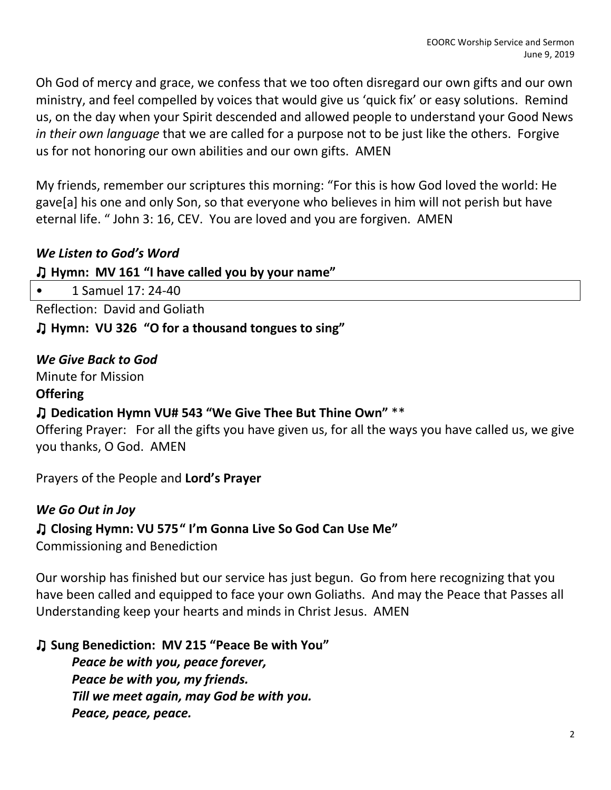Oh God of mercy and grace, we confess that we too often disregard our own gifts and our own ministry, and feel compelled by voices that would give us 'quick fix' or easy solutions. Remind us, on the day when your Spirit descended and allowed people to understand your Good News *in their own language* that we are called for a purpose not to be just like the others. Forgive us for not honoring our own abilities and our own gifts. AMEN

My friends, remember our scriptures this morning: "For this is how God loved the world: He gave[a] his one and only Son, so that everyone who believes in him will not perish but have eternal life. " John 3: 16, CEV. You are loved and you are forgiven. AMEN

## *We Listen to God's Word*

### ♫ **Hymn: MV 161 "I have called you by your name"**

• 1 Samuel 17: 24-40

Reflection: David and Goliath

♫ **Hymn: VU 326 "O for a thousand tongues to sing"**

*We Give Back to God*

Minute for Mission

#### **Offering**

#### ♫ **Dedication Hymn VU# 543 "We Give Thee But Thine Own"** \*\*

Offering Prayer: For all the gifts you have given us, for all the ways you have called us, we give you thanks, O God. AMEN

Prayers of the People and **Lord's Prayer** 

### *We Go Out in Joy*

### ♫ **Closing Hymn: VU 575" I'm Gonna Live So God Can Use Me"**

Commissioning and Benediction

Our worship has finished but our service has just begun. Go from here recognizing that you have been called and equipped to face your own Goliaths. And may the Peace that Passes all Understanding keep your hearts and minds in Christ Jesus. AMEN

### ♫ **Sung Benediction: MV 215 "Peace Be with You"**

*Peace be with you, peace forever, Peace be with you, my friends. Till we meet again, may God be with you. Peace, peace, peace.*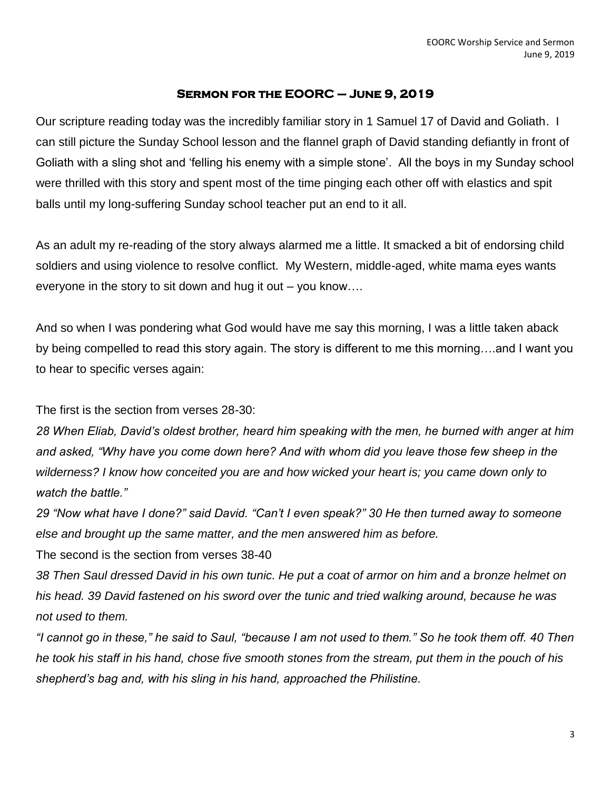#### **Sermon for the EOORC – June 9, 2019**

Our scripture reading today was the incredibly familiar story in 1 Samuel 17 of David and Goliath. I can still picture the Sunday School lesson and the flannel graph of David standing defiantly in front of Goliath with a sling shot and 'felling his enemy with a simple stone'. All the boys in my Sunday school were thrilled with this story and spent most of the time pinging each other off with elastics and spit balls until my long-suffering Sunday school teacher put an end to it all.

As an adult my re-reading of the story always alarmed me a little. It smacked a bit of endorsing child soldiers and using violence to resolve conflict. My Western, middle-aged, white mama eyes wants everyone in the story to sit down and hug it out – you know….

And so when I was pondering what God would have me say this morning, I was a little taken aback by being compelled to read this story again. The story is different to me this morning….and I want you to hear to specific verses again:

The first is the section from verses 28-30:

*28 When Eliab, David's oldest brother, heard him speaking with the men, he burned with anger at him and asked, "Why have you come down here? And with whom did you leave those few sheep in the wilderness? I know how conceited you are and how wicked your heart is; you came down only to watch the battle."*

*29 "Now what have I done?" said David. "Can't I even speak?" 30 He then turned away to someone else and brought up the same matter, and the men answered him as before.*

The second is the section from verses 38-40

*38 Then Saul dressed David in his own tunic. He put a coat of armor on him and a bronze helmet on his head. 39 David fastened on his sword over the tunic and tried walking around, because he was not used to them.*

*"I cannot go in these," he said to Saul, "because I am not used to them." So he took them off. 40 Then he took his staff in his hand, chose five smooth stones from the stream, put them in the pouch of his shepherd's bag and, with his sling in his hand, approached the Philistine.*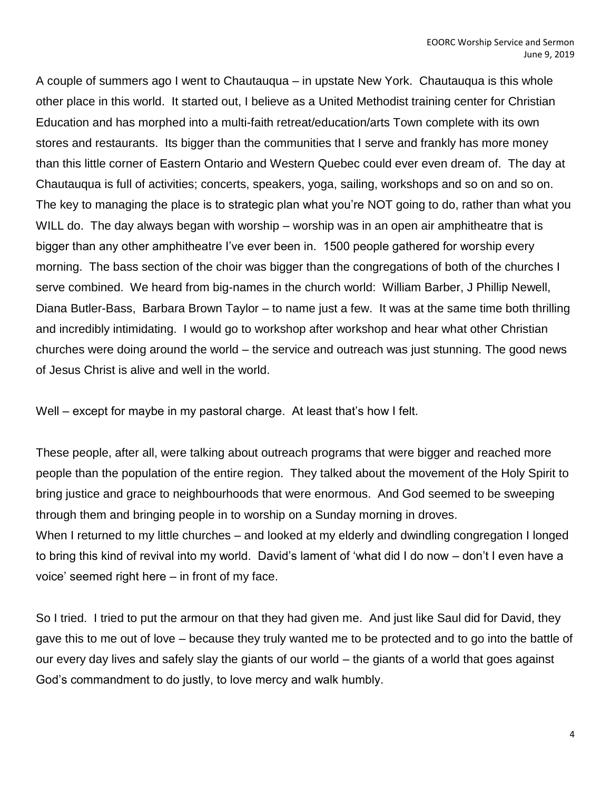A couple of summers ago I went to Chautauqua – in upstate New York. Chautauqua is this whole other place in this world. It started out, I believe as a United Methodist training center for Christian Education and has morphed into a multi-faith retreat/education/arts Town complete with its own stores and restaurants. Its bigger than the communities that I serve and frankly has more money than this little corner of Eastern Ontario and Western Quebec could ever even dream of. The day at Chautauqua is full of activities; concerts, speakers, yoga, sailing, workshops and so on and so on. The key to managing the place is to strategic plan what you're NOT going to do, rather than what you WILL do. The day always began with worship – worship was in an open air amphitheatre that is bigger than any other amphitheatre I've ever been in. 1500 people gathered for worship every morning. The bass section of the choir was bigger than the congregations of both of the churches I serve combined. We heard from big-names in the church world: William Barber, J Phillip Newell, Diana Butler-Bass, Barbara Brown Taylor – to name just a few. It was at the same time both thrilling and incredibly intimidating. I would go to workshop after workshop and hear what other Christian churches were doing around the world – the service and outreach was just stunning. The good news of Jesus Christ is alive and well in the world.

Well – except for maybe in my pastoral charge. At least that's how I felt.

These people, after all, were talking about outreach programs that were bigger and reached more people than the population of the entire region. They talked about the movement of the Holy Spirit to bring justice and grace to neighbourhoods that were enormous. And God seemed to be sweeping through them and bringing people in to worship on a Sunday morning in droves. When I returned to my little churches – and looked at my elderly and dwindling congregation I longed to bring this kind of revival into my world. David's lament of 'what did I do now – don't I even have a

voice' seemed right here – in front of my face.

So I tried. I tried to put the armour on that they had given me. And just like Saul did for David, they gave this to me out of love – because they truly wanted me to be protected and to go into the battle of our every day lives and safely slay the giants of our world – the giants of a world that goes against God's commandment to do justly, to love mercy and walk humbly.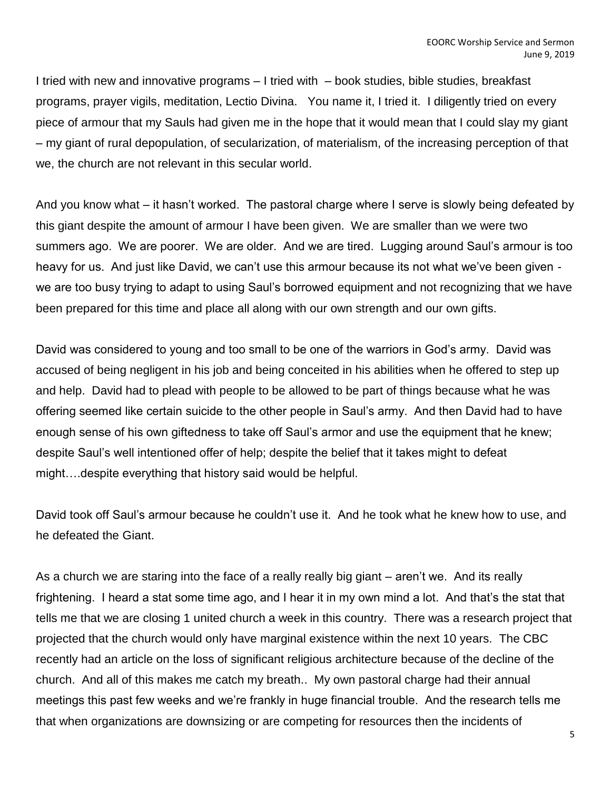I tried with new and innovative programs – I tried with – book studies, bible studies, breakfast programs, prayer vigils, meditation, Lectio Divina. You name it, I tried it. I diligently tried on every piece of armour that my Sauls had given me in the hope that it would mean that I could slay my giant – my giant of rural depopulation, of secularization, of materialism, of the increasing perception of that we, the church are not relevant in this secular world.

And you know what – it hasn't worked. The pastoral charge where I serve is slowly being defeated by this giant despite the amount of armour I have been given. We are smaller than we were two summers ago. We are poorer. We are older. And we are tired. Lugging around Saul's armour is too heavy for us. And just like David, we can't use this armour because its not what we've been given we are too busy trying to adapt to using Saul's borrowed equipment and not recognizing that we have been prepared for this time and place all along with our own strength and our own gifts.

David was considered to young and too small to be one of the warriors in God's army. David was accused of being negligent in his job and being conceited in his abilities when he offered to step up and help. David had to plead with people to be allowed to be part of things because what he was offering seemed like certain suicide to the other people in Saul's army. And then David had to have enough sense of his own giftedness to take off Saul's armor and use the equipment that he knew; despite Saul's well intentioned offer of help; despite the belief that it takes might to defeat might….despite everything that history said would be helpful.

David took off Saul's armour because he couldn't use it. And he took what he knew how to use, and he defeated the Giant.

As a church we are staring into the face of a really really big giant – aren't we. And its really frightening. I heard a stat some time ago, and I hear it in my own mind a lot. And that's the stat that tells me that we are closing 1 united church a week in this country. There was a research project that projected that the church would only have marginal existence within the next 10 years. The CBC recently had an article on the loss of significant religious architecture because of the decline of the church. And all of this makes me catch my breath.. My own pastoral charge had their annual meetings this past few weeks and we're frankly in huge financial trouble. And the research tells me that when organizations are downsizing or are competing for resources then the incidents of